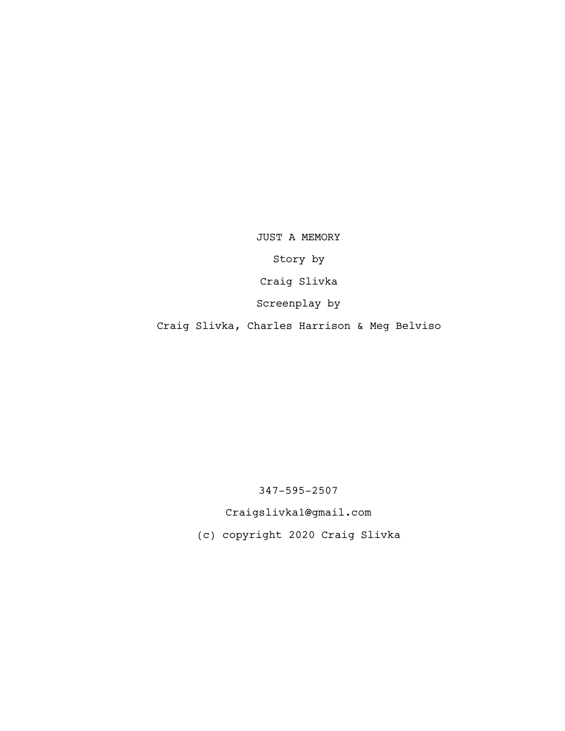JUST A MEMORY Story by Craig Slivka Screenplay by Craig Slivka, Charles Harrison & Meg Belviso

347-595-2507

Craigslivka1@gmail.com

(c) copyright 2020 Craig Slivka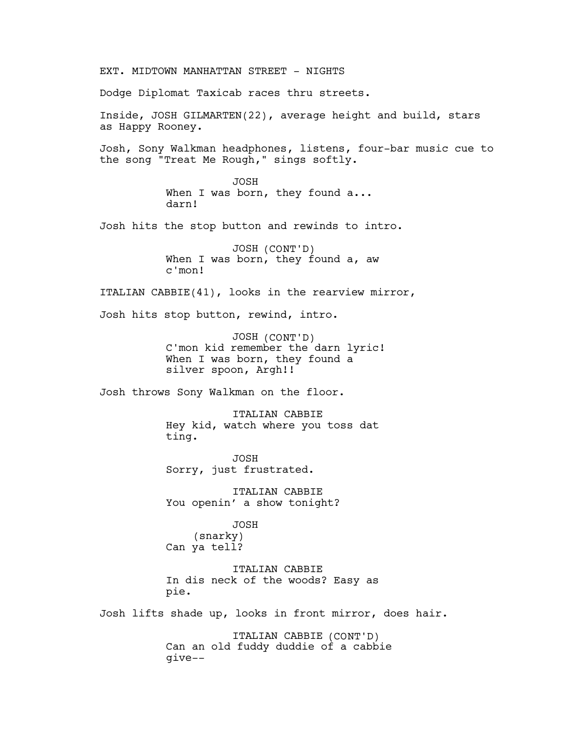EXT. MIDTOWN MANHATTAN STREET – NIGHTS Dodge Diplomat Taxicab races thru streets. Inside, JOSH GILMARTEN(22), average height and build, stars as Happy Rooney. Josh, Sony Walkman headphones, listens, four-bar music cue to the song "Treat Me Rough," sings softly. JOSH When I was born, they found a... darn! Josh hits the stop button and rewinds to intro. JOSH (CONT'D) When I was born, they found a, aw c'mon! ITALIAN CABBIE(41), looks in the rearview mirror, Josh hits stop button, rewind, intro. JOSH (CONT'D) C'mon kid remember the darn lyric! When I was born, they found a silver spoon, Argh!! Josh throws Sony Walkman on the floor. ITALIAN CABBIE Hey kid, watch where you toss dat ting. JOSH Sorry, just frustrated. ITALIAN CABBIE You openin' a show tonight? JOSH (snarky) Can ya tell? ITALIAN CABBIE In dis neck of the woods? Easy as pie. Josh lifts shade up, looks in front mirror, does hair. ITALIAN CABBIE (CONT'D) Can an old fuddy duddie of a cabbie give--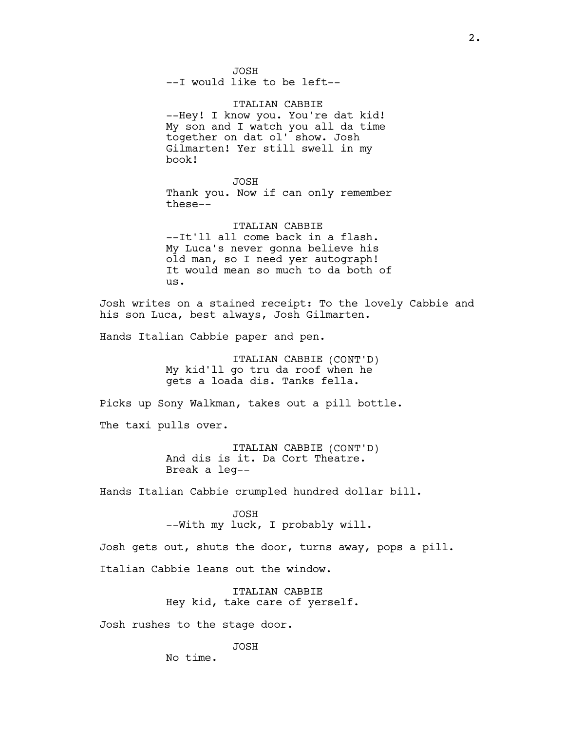JOSH --I would like to be left--

ITALIAN CABBIE --Hey! I know you. You're dat kid! My son and I watch you all da time together on dat ol' show. Josh Gilmarten! Yer still swell in my book!

JOSH Thank you. Now if can only remember these--

ITALIAN CABBIE --It'll all come back in a flash. My Luca's never gonna believe his old man, so I need yer autograph! It would mean so much to da both of us.

Josh writes on a stained receipt: To the lovely Cabbie and his son Luca, best always, Josh Gilmarten.

Hands Italian Cabbie paper and pen.

ITALIAN CABBIE (CONT'D) My kid'll go tru da roof when he gets a loada dis. Tanks fella.

Picks up Sony Walkman, takes out a pill bottle.

The taxi pulls over.

ITALIAN CABBIE (CONT'D) And dis is it. Da Cort Theatre. Break a leg--

Hands Italian Cabbie crumpled hundred dollar bill.

JOSH --With my luck, I probably will.

Josh gets out, shuts the door, turns away, pops a pill. Italian Cabbie leans out the window.

> ITALIAN CABBIE Hey kid, take care of yerself.

Josh rushes to the stage door.

JOSH

No time.